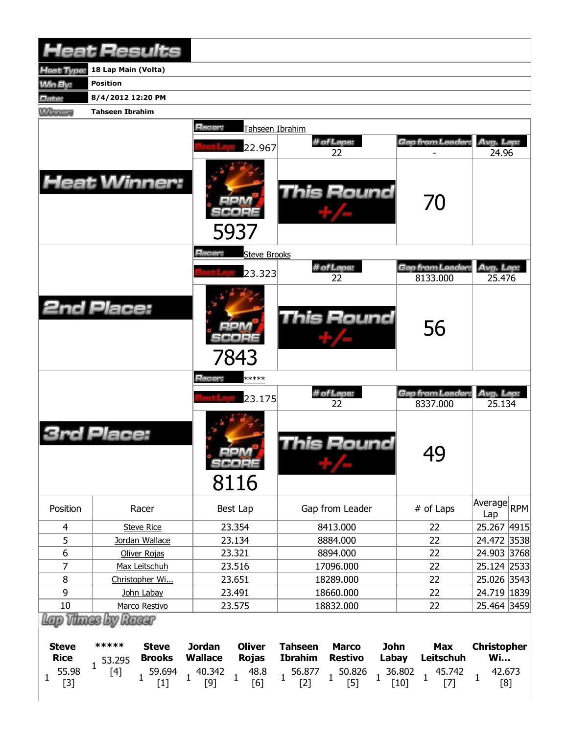| <b>Heat Results</b>            |                             |                                 |                                 |                     |                                 |                                 |              |                  |                                 |                               |            |
|--------------------------------|-----------------------------|---------------------------------|---------------------------------|---------------------|---------------------------------|---------------------------------|--------------|------------------|---------------------------------|-------------------------------|------------|
| Heat Type:                     | 18 Lap Main (Volta)         |                                 |                                 |                     |                                 |                                 |              |                  |                                 |                               |            |
| <b>Min By:</b>                 | <b>Position</b>             |                                 |                                 |                     |                                 |                                 |              |                  |                                 |                               |            |
| Date:                          | 8/4/2012 12:20 PM           |                                 |                                 |                     |                                 |                                 |              |                  |                                 |                               |            |
| <b>Winners</b>                 | <b>Tahseen Ibrahim</b>      |                                 |                                 |                     |                                 |                                 |              |                  |                                 |                               |            |
|                                |                             |                                 | Racer:                          | Tahseen Ibrahim     |                                 |                                 |              |                  |                                 |                               |            |
|                                |                             |                                 |                                 |                     |                                 | # of Laps:                      |              |                  | Gap from Leader:                | Avg. Lap:                     |            |
|                                |                             |                                 |                                 | 22.967              |                                 | 22                              |              |                  |                                 | 24.96                         |            |
| <b>Heat Winner:</b>            |                             |                                 |                                 | 5937                |                                 | This Round                      |              |                  | 70                              |                               |            |
|                                |                             |                                 | Racer:                          | <b>Steve Brooks</b> |                                 | # of Laps:                      |              |                  | Gap from Leader:                | Avg. Lap:                     |            |
|                                |                             |                                 |                                 | 23.323              |                                 | 22                              |              |                  | 8133.000                        | 25.476                        |            |
| <b>2nd Place:</b>              |                             |                                 |                                 | 7843                |                                 | <b>This Round</b>               |              |                  | 56                              |                               |            |
|                                |                             |                                 | <b>Racer:</b>                   | *****               |                                 |                                 |              |                  |                                 |                               |            |
|                                |                             |                                 |                                 | 23.175              |                                 | # of Laps:<br>22                |              |                  | Gap from Leader:<br>8337.000    | Avg. Lap:<br>25.134           |            |
|                                | Place:                      |                                 |                                 | SCORE<br>8116       |                                 | This Round                      |              |                  | 49                              |                               |            |
| Position                       |                             | Racer                           |                                 | Best Lap            |                                 | Gap from Leader                 |              |                  | # of Laps                       | Average<br>Lap                | <b>RPM</b> |
| $\overline{4}$                 |                             | <b>Steve Rice</b>               |                                 | 23.354              |                                 | 8413.000                        |              |                  | 22                              | 25.267 4915                   |            |
| 5                              | Jordan Wallace              |                                 |                                 | 23.134              |                                 | 8884.000                        |              |                  | 22                              | 24.472 3538                   |            |
| 6                              | Oliver Rojas                |                                 |                                 | 23.321              |                                 | 8894.000                        |              |                  | 22                              | 24.903 3768                   |            |
| 7                              | Max Leitschuh               |                                 | 23.516                          |                     | 17096.000                       |                                 |              | 22               | 25.124 2533                     |                               |            |
| $\bf 8$                        | Christopher Wi              |                                 | 23.651                          |                     | 18289.000                       |                                 |              | 22               | 25.026 3543                     |                               |            |
| 9                              | John Labay<br>Marco Restivo |                                 |                                 | 23.491              |                                 | 18660.000                       |              |                  | 22                              | 24.719 1839                   |            |
| $10\,$<br>Lap Thass by Racer   |                             |                                 |                                 | 23.575              |                                 | 18832.000                       |              |                  | 22                              | 25.464 3459                   |            |
| <b>Steve</b>                   | *****                       | <b>Steve</b>                    | <b>Jordan</b>                   | <b>Oliver</b>       | <b>Tahseen</b>                  | <b>Marco</b>                    | <b>John</b>  |                  | <b>Max</b>                      | <b>Christopher</b>            |            |
| <b>Rice</b>                    | 53.295<br>$\mathbf{1}$      | <b>Brooks</b>                   | <b>Wallace</b>                  | <b>Rojas</b>        | <b>Ibrahim</b>                  | <b>Restivo</b>                  | Labay        |                  | Leitschuh                       | <b>Wi</b>                     |            |
| 55.98<br>$\mathbf{1}$<br>$[3]$ | $[4]$                       | 59.694<br>$\mathbf{1}$<br>$[1]$ | 40.342<br>$\mathbf{1}$<br>$[9]$ | 48.8<br>1<br>[6]    | 56.877<br>$\mathbf{1}$<br>$[2]$ | 50.826<br>$\mathbf{1}$<br>$[5]$ | $\mathbf{1}$ | 36.802<br>$[10]$ | 45.742<br>$\mathbf{1}$<br>$[7]$ | 42.673<br>$\mathbf{1}$<br>[8] |            |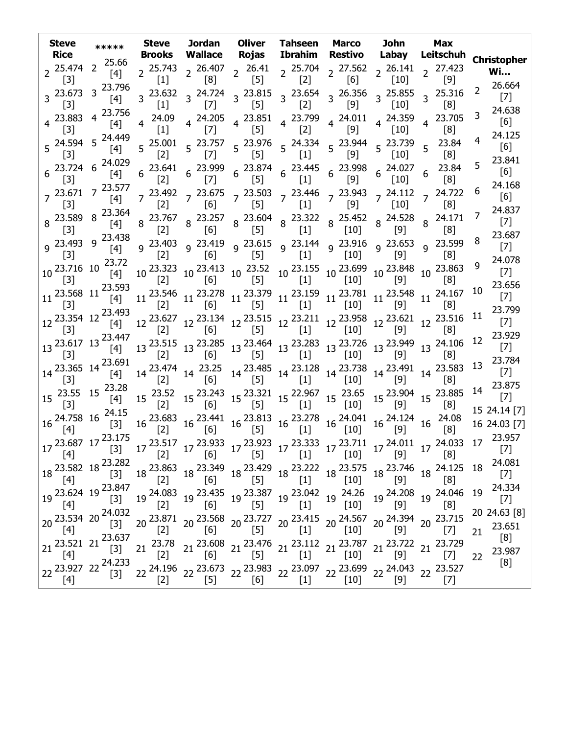| <b>Steve</b><br><b>Rice</b>                                                                                                                                                                                                                                                                                                                                                                                                                                                                                                                                                                                                                                                                                                                                                                                                                                                                                        | *****                                                                                          | <b>Steve</b>         | <b>Brooks Wallace</b>             | Rojas |       | Jordan Oliver Tahseen Marco<br>Ibrahim Restivo                                                                                                                                                                                                                                                                                                                                                          | John<br>Labay | <b>Max</b><br>Leitschuh                                                                                                                                                                                                                                                                                                                                                                                                                                                    | <b>Christopher</b>           |
|--------------------------------------------------------------------------------------------------------------------------------------------------------------------------------------------------------------------------------------------------------------------------------------------------------------------------------------------------------------------------------------------------------------------------------------------------------------------------------------------------------------------------------------------------------------------------------------------------------------------------------------------------------------------------------------------------------------------------------------------------------------------------------------------------------------------------------------------------------------------------------------------------------------------|------------------------------------------------------------------------------------------------|----------------------|-----------------------------------|-------|-------|---------------------------------------------------------------------------------------------------------------------------------------------------------------------------------------------------------------------------------------------------------------------------------------------------------------------------------------------------------------------------------------------------------|---------------|----------------------------------------------------------------------------------------------------------------------------------------------------------------------------------------------------------------------------------------------------------------------------------------------------------------------------------------------------------------------------------------------------------------------------------------------------------------------------|------------------------------|
| $2^{25.474}$<br>$[3]$                                                                                                                                                                                                                                                                                                                                                                                                                                                                                                                                                                                                                                                                                                                                                                                                                                                                                              | $2^{25.66}$<br>[4]                                                                             |                      |                                   |       |       |                                                                                                                                                                                                                                                                                                                                                                                                         |               | 2 <sup>25.743</sup> 2 <sup>26.407</sup> 2 <sup>26.41</sup> 2 <sup>25.704</sup> 2 <sup>27.562</sup> 2 <sup>26.141</sup> 2 <sup>27.423</sup><br>[1] [8] 2 [5] 2 [2] 2 [6] 2 [10] 2 [9]                                                                                                                                                                                                                                                                                       | <b>Wi</b>                    |
|                                                                                                                                                                                                                                                                                                                                                                                                                                                                                                                                                                                                                                                                                                                                                                                                                                                                                                                    | 3 23.673 3 23.796<br>$[4]$                                                                     |                      |                                   |       |       | $3\begin{array}{cc} 3.23.632 \\ 3.632 \end{array}$ $3\begin{array}{cc} 24.724 \\ 5.321 \end{array}$ $3\begin{array}{cc} 23.815 \\ 3.654 \end{array}$ $3\begin{array}{cc} 26.356 \\ 5.356 \end{array}$ $3\begin{array}{cc} 25.855 \\ 3.653 \end{array}$                                                                                                                                                  |               | 3 25.316                                                                                                                                                                                                                                                                                                                                                                                                                                                                   | 26.664<br>2<br>$[7]$         |
| $[3]$<br>$4^{23.883}$                                                                                                                                                                                                                                                                                                                                                                                                                                                                                                                                                                                                                                                                                                                                                                                                                                                                                              | 4 23.756<br>$[4]$                                                                              | $[1]$<br>$4^{24.09}$ | $\begin{bmatrix} 7 \end{bmatrix}$ | $[5]$ | [2]   | [9]<br>$4\begin{array}{cccccc} 4.205 & 4.23.851 & 4.23.799 & 4.24.011 & 4.24.359 \\ 5.3 & 4.553 & 4.531 & 4.532 & 4.532 \end{array}$                                                                                                                                                                                                                                                                    | $[10]$        | [8]<br>4 23.705                                                                                                                                                                                                                                                                                                                                                                                                                                                            | 24.638<br>3.<br>[6]          |
| $[3]$                                                                                                                                                                                                                                                                                                                                                                                                                                                                                                                                                                                                                                                                                                                                                                                                                                                                                                              | 5 24.594 5 24.449<br>$[4]$                                                                     | $\left[1\right]$     | [7]                               | [5]   | $[2]$ | [9]<br>5 <sup>25.001</sup> 5 <sup>23.757</sup> 5 <sup>23.976</sup> 5 <sup>24.334</sup> 5 <sup>23.944</sup> 5 <sup>23.739</sup><br>[2] [7] [5] [1] [9] 5 [10]                                                                                                                                                                                                                                            | $[10]$        | [8]<br>$5^{23.84}$                                                                                                                                                                                                                                                                                                                                                                                                                                                         | 24.125<br>[6]                |
| $[3]$                                                                                                                                                                                                                                                                                                                                                                                                                                                                                                                                                                                                                                                                                                                                                                                                                                                                                                              | $6\begin{array}{l} 23.724 & 6 \end{array}$ 24.029<br>$[4]$                                     |                      |                                   |       |       | $6\quad 23.641$ $6\quad 23.999$ $6\quad 23.874$ $6\quad 23.445$ $6\quad 23.998$ $6\quad 24.027$<br>[2] $6\quad [7]$ $6\quad [5]$ $6\quad [1]$ $6\quad [9]$ $6\quad [10]$                                                                                                                                                                                                                                |               | [8]<br>23.84                                                                                                                                                                                                                                                                                                                                                                                                                                                               | 23.841<br>5<br>[6]           |
| $[3]$                                                                                                                                                                                                                                                                                                                                                                                                                                                                                                                                                                                                                                                                                                                                                                                                                                                                                                              | $7^{23.671}$ 7 <sup>23.577</sup><br>$[4]$                                                      |                      |                                   |       |       | $7\frac{23.492}{531}$ $7\frac{23.675}{51}$ $7\frac{23.503}{51}$ $7\frac{23.446}{51}$ $7\frac{23.943}{53}$ $7\frac{24.112}{533}$                                                                                                                                                                                                                                                                         |               | [8]<br>7 24.722                                                                                                                                                                                                                                                                                                                                                                                                                                                            | 24.168<br>b<br>[6]           |
| $[3]$<br>$8^{23.589}$ 8                                                                                                                                                                                                                                                                                                                                                                                                                                                                                                                                                                                                                                                                                                                                                                                                                                                                                            | 23.364<br>$[4]$                                                                                | $[2]$                | 6                                 | $[5]$ | $[1]$ | [9]<br>8  23.767  8  23.257  8  23.604  8  23.322  8  25.452  8  24.528<br>[2]  [6]  8  [5]  8  [1]  8  [10]  8  [9]                                                                                                                                                                                                                                                                                    | $[10]$        | $\lfloor 8 \rfloor$<br>8 24.171                                                                                                                                                                                                                                                                                                                                                                                                                                            | 24.837<br>$[7]$              |
| $[3]$                                                                                                                                                                                                                                                                                                                                                                                                                                                                                                                                                                                                                                                                                                                                                                                                                                                                                                              | 9 23.493 9 23.438<br>$[4]$                                                                     |                      |                                   |       |       |                                                                                                                                                                                                                                                                                                                                                                                                         |               | [8]<br>9 <sup>23.403</sup> 9 <sup>23.419</sup> 9 <sup>23.615</sup> 9 <sup>23.144</sup> 9 <sup>23.916</sup> 9 <sup>23.653</sup> 9 <sup>23.599</sup><br>[8]           [9]         [8]                                                                                                                                                                                                                                                                                        | 23.687<br>$[7]$              |
| $[3]$<br>10 23.716 10                                                                                                                                                                                                                                                                                                                                                                                                                                                                                                                                                                                                                                                                                                                                                                                                                                                                                              | 23.72<br>[4]                                                                                   |                      |                                   |       |       |                                                                                                                                                                                                                                                                                                                                                                                                         |               | $10\,\, \begin{matrix} 23.323 & 10\,\, 23.413 & 10\,\, \begin{matrix} 23.52 & 10\,\, 23.155 & 10\,\, 23.699 & 10\,\, 23.848 & 10\,\, 23.863 \end{matrix} \\ \text{[2]} \end{matrix} \end{matrix}$                                                                                                                                                                                                                                                                          | 24.078<br>9<br>$[7]$         |
| $[3]$<br>$11^{23.568}$ 11 <sup>2</sup>                                                                                                                                                                                                                                                                                                                                                                                                                                                                                                                                                                                                                                                                                                                                                                                                                                                                             | 23.593<br>$[4]$                                                                                |                      |                                   |       |       |                                                                                                                                                                                                                                                                                                                                                                                                         |               | $11 \begin{array}{c c c c c c c c} 11 & 23.546 & 11 & 23.278 & 11 & 23.379 & 11 & 23.159 & 11 & 23.781 & 11 & 23.548 & 11 & 24.167 \\ \hline [2] & 11 & [5] & 11 & [1] & 11 & [10] & 11 & [9] & 11 & [8] \end{array}$                                                                                                                                                                                                                                                      | 23.656<br>10<br>$[7]$        |
| [3]<br>12 23.354 12                                                                                                                                                                                                                                                                                                                                                                                                                                                                                                                                                                                                                                                                                                                                                                                                                                                                                                | 23.493<br>$[4]$                                                                                |                      |                                   |       |       |                                                                                                                                                                                                                                                                                                                                                                                                         |               | $12\,\,{\overset{23.627}{\,[\,2]}}\,\, 12\,\, \overset{23.134}{\,\, [6]} \,\, 12\,\, \overset{23.515}{\,\, [5]} \,\, 12\,\, \overset{23.211}{\,\, [1]} \,\, 12\,\, \overset{23.958}{\,\, [10]} \,\, 12\,\, \overset{23.621}{\,\, [9]} \,\, 12\,\, \overset{23.516}{\,\, [8]}$                                                                                                                                                                                              | 23.799<br>11<br>$[7]$        |
| $[3]$                                                                                                                                                                                                                                                                                                                                                                                                                                                                                                                                                                                                                                                                                                                                                                                                                                                                                                              | 13 23.617 13 23.447<br>$[4]$                                                                   |                      |                                   |       |       |                                                                                                                                                                                                                                                                                                                                                                                                         |               | $13\begin{array}{l} 23.515\\ [2]\end{array} \quad 13\begin{array}{l} 23.285\\ [6]\end{array} \quad 13\begin{array}{l} 23.464\\ [5]\end{array} \quad 13\begin{array}{l} 23.283\\ [1]\end{array} \quad 13\begin{array}{l} 23.726\\ [10]\end{array} \quad 13\begin{array}{l} 23.949\\ [9]\end{array} \quad 13\begin{array}{l} 24.106\\ [8]\end{array}$                                                                                                                        | 23.929<br>12<br>$[7]$        |
| $\lceil 3 \rceil$                                                                                                                                                                                                                                                                                                                                                                                                                                                                                                                                                                                                                                                                                                                                                                                                                                                                                                  | 14 23.365 14 23.691<br>$[4]$                                                                   |                      |                                   |       |       |                                                                                                                                                                                                                                                                                                                                                                                                         |               | $14\begin{array}{l} 23.474 \\ [2] \end{array} \quad 14\begin{array}{l} 23.25 \\ [6] \end{array} \quad 14\begin{array}{l} 23.485 \\ [5] \end{array} \quad 14\begin{array}{l} 23.128 \\ [1] \end{array} \quad 14\begin{array}{l} 23.738 \\ [10] \end{array} \quad 14\begin{array}{l} 23.491 \\ [9] \end{array} \quad 14\begin{array}{l} 23.583 \\ [8] \end{array}$                                                                                                           | 23.784<br>13<br>$[7]$        |
| $\lceil 3 \rceil$                                                                                                                                                                                                                                                                                                                                                                                                                                                                                                                                                                                                                                                                                                                                                                                                                                                                                                  | $15\begin{array}{l}\n23.55 \\ 15\n\end{array}$ 15 $\begin{array}{l}\n23.28 \\ 15\n\end{array}$ |                      |                                   |       |       |                                                                                                                                                                                                                                                                                                                                                                                                         |               | $15\quad \begin{array}{ccc} 23.52\\ [2]\end{array} \quad 15\quad \begin{array}{ccc} 23.243\\ [6]\end{array} \quad 15\quad \begin{array}{ccc} 23.321\\ [5]\end{array} \quad 15\quad \begin{array}{ccc} 22.967\\ [1]\end{array} \quad 15\quad \begin{array}{ccc} 23.65\\ [10]\end{array} \quad 15\quad \begin{array}{ccc} 23.904\\ [9]\end{array} \quad 15\quad \begin{array}{ccc} 23.885\\ [8]\end{array}$                                                                  | 23.875<br>14<br>$[7]$        |
| $\lceil 3 \rceil$                                                                                                                                                                                                                                                                                                                                                                                                                                                                                                                                                                                                                                                                                                                                                                                                                                                                                                  | $16\frac{24.758}{5.7}$ 16 $\frac{24.15}{5.7}$                                                  |                      |                                   |       |       | $16\, \begin{array}{cccccc} 23.683 & 16\, \begin{array}{cccccc} 23.441 & 16\, \begin{array}{cccccc} 23.813 & 16\, \end{array} & 23.278 & 16\, \begin{array}{cccccc} 24.041 & 16\, \begin{array}{cccccc} 24.124 & 16\, \end{array} & 24.08 \\ \hline \end{array} & \begin{array}{cccccc} [2] & 16 & [5] & 16 & [1] & 16 & [10] & 16 & [9] & 16 \end{array} & \begin{array}{cccccc} \end{array} & \begin$ |               |                                                                                                                                                                                                                                                                                                                                                                                                                                                                            | 15 24.14 [7]<br>16 24.03 [7] |
|                                                                                                                                                                                                                                                                                                                                                                                                                                                                                                                                                                                                                                                                                                                                                                                                                                                                                                                    | $17\frac{23.687}{5.27}$ $17\frac{23.175}{5.27}$                                                |                      |                                   |       |       |                                                                                                                                                                                                                                                                                                                                                                                                         |               |                                                                                                                                                                                                                                                                                                                                                                                                                                                                            | 23.957<br>17<br>$[7]$        |
| $[4]$                                                                                                                                                                                                                                                                                                                                                                                                                                                                                                                                                                                                                                                                                                                                                                                                                                                                                                              |                                                                                                |                      | $[6]$                             |       |       |                                                                                                                                                                                                                                                                                                                                                                                                         |               | $18\, \begin{array}{l}\n 23.863 \\  18\quad \  \  \, 18^{23.349} \\  18\quad \  \  \, 18^{23.429} \\  18\quad \  \  \, 18^{23.222} \\  18\quad \  \  \, 18^{23.575} \\  18\quad \  \  \, 18^{23.746} \\  19\quad \  \  \, 18^{24.125} \\  18\quad \  \  \, 18^{23.746} \\  19\quad \  \  \, 18^{24.125} \\  19\quad \  \  \, 18^{2$                                                                                                                                        | 24.081<br>$[7]$              |
| $[4] % \begin{center} \includegraphics[width=\linewidth]{imagesSupplemental/Imetad-Architecture.png} \end{center} % \vspace*{-1em} \caption{The image shows the number of parameters of the estimators in the image. The left is the number of times, and the right is the number of times, and the right is the number of times, and the right is the number of times, and the right is the number of times, and the right is the number of times, and the right is the number of times, and the right is the number of times, and the right is the number of times, and the right is the number of times, and the right is the number of times, and the right is the number of times, and the right is the number of times, and the right is the number of times, and the right is the number of times, and the right is the number of times, and the right is the number of times, and the right is the number$ | $19\frac{23.624}{541}$ 19 $23.847$<br>19 $23.624$ 19 $[3]$                                     |                      |                                   |       |       |                                                                                                                                                                                                                                                                                                                                                                                                         |               | $19 \begin{array}{l} 24.083 \\ \begin{bmatrix} 2 \end{bmatrix} \end{array} \begin{array}{l} 19 \begin{array}{l} 23.435 \\ \begin{bmatrix} 6 \end{array} \end{array} \end{array} \begin{array}{l} 19 \begin{array}{l} 23.387 \\ \begin{bmatrix} 19 \end{array} \end{array} \begin{array}{l} 19 \begin{array}{l} 24.26 \\ \begin{bmatrix} 10 \end{array} \end{array} \end{array} \begin{array}{l} 19 \begin{array}{l} 24.208 \\ \begin{bmatrix} 9 \end{array} \end{array} \$ | 24.334<br>19<br>$[7]$        |
| $[4]$                                                                                                                                                                                                                                                                                                                                                                                                                                                                                                                                                                                                                                                                                                                                                                                                                                                                                                              | $20\begin{array}{l} 111 \\ 23.534 \\ 20\end{array}$ 20 $24.032$<br>[3]                         |                      |                                   |       |       |                                                                                                                                                                                                                                                                                                                                                                                                         |               | $20\begin{array}{l} 23.871\\ \text{[2]} \end{array} \text{ } 20\begin{array}{l} 23.568\\ \text{[6]} \end{array} \text{ } 20\begin{array}{l} 23.727\\ \text{[5]} \end{array} \text{ } 20\begin{array}{l} 23.415\\ \text{[1]} \end{array} \text{ } 20\begin{array}{l} 24.567\\ \text{[10]} \end{array} \text{ } 20\begin{array}{l} 24.394\\ \text{[9]} \end{array} \text{ } 20\begin{array}{l} 23.715\\ \text{[$                                                             | 20 24.63 [8]<br>23.651       |
| $[4]$                                                                                                                                                                                                                                                                                                                                                                                                                                                                                                                                                                                                                                                                                                                                                                                                                                                                                                              | 21 $\overline{23.521}$ 21 $\overline{23.637}$<br>[3]                                           |                      |                                   |       |       |                                                                                                                                                                                                                                                                                                                                                                                                         |               | $21\quad \  23.78 \quad \  21\quad \  23.608 \quad \  21\quad \  23.476 \quad \  21\quad \  23.112 \quad \  21\quad \  23.787 \quad \  21\quad \  23.722 \quad \  21\quad \  23.729 \quad \  21\quad \  23.729 \quad \  21\quad \  26.733$                                                                                                                                                                                                                                 | 21<br>[8]<br>23.987          |
| $[4]$<br>$[4] % \begin{center} \includegraphics[width=\linewidth]{imagesSupplemental/Imetad-Architecture.png} \end{center} % \vspace{-1em} \caption{The image shows the parameters of the parameters of the parameter $\{1,2,3,4,\ldots\}$, and the corresponding parameters of the parameter $\{1,3,4,\ldots\}$, respectively.} \label{fig:3}$                                                                                                                                                                                                                                                                                                                                                                                                                                                                                                                                                                    | 22 23.927 22 24.233                                                                            |                      |                                   |       |       |                                                                                                                                                                                                                                                                                                                                                                                                         |               | 22 <sup>24.196</sup> 22 <sup>23.673</sup> 22 <sup>23.983</sup> 22 <sup>23.097</sup> 22 <sup>23.699</sup> 22 <sup>24.043</sup> 22 <sup>23.527</sup><br>[2] 22 <sup>2</sup> [5] 22 <sup>2</sup> [6] 22 <sup>2</sup> [1] <sup>22</sup> <sup>[10]</sup> 22 <sup>24.043</sup> 22 <sup>23.527</sup>                                                                                                                                                                              | 22<br>[8]                    |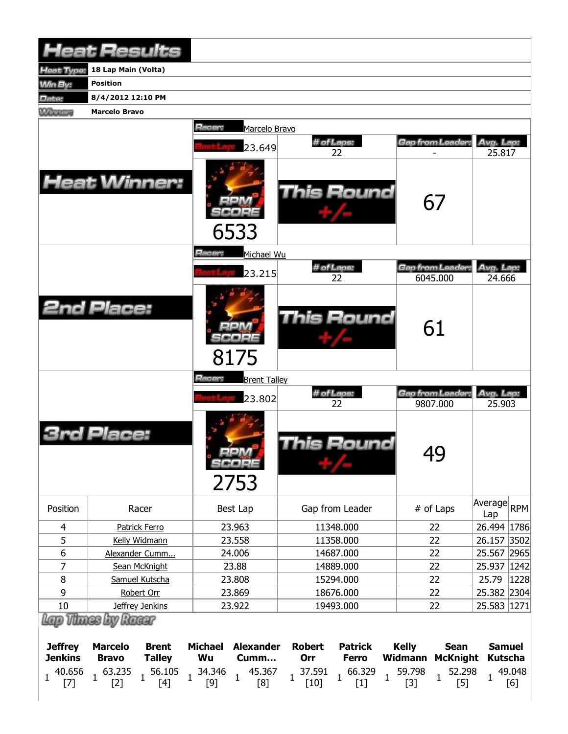|                                                                   | <b>Heat Results</b>                                                                                         |                                                                                                                      |                                                                                                                                               |                                                                                                                        |                                                                  |
|-------------------------------------------------------------------|-------------------------------------------------------------------------------------------------------------|----------------------------------------------------------------------------------------------------------------------|-----------------------------------------------------------------------------------------------------------------------------------------------|------------------------------------------------------------------------------------------------------------------------|------------------------------------------------------------------|
| Heat Type:                                                        | 18 Lap Main (Volta)                                                                                         |                                                                                                                      |                                                                                                                                               |                                                                                                                        |                                                                  |
| <b>Min By:</b>                                                    | <b>Position</b>                                                                                             |                                                                                                                      |                                                                                                                                               |                                                                                                                        |                                                                  |
| Date:                                                             | 8/4/2012 12:10 PM                                                                                           |                                                                                                                      |                                                                                                                                               |                                                                                                                        |                                                                  |
| <b>Winners</b>                                                    | <b>Marcelo Bravo</b>                                                                                        |                                                                                                                      |                                                                                                                                               |                                                                                                                        |                                                                  |
|                                                                   |                                                                                                             | Racer:<br>Marcelo Bravo                                                                                              |                                                                                                                                               |                                                                                                                        |                                                                  |
|                                                                   |                                                                                                             | 23.649                                                                                                               | # of Laps:                                                                                                                                    | Gap from Leader:                                                                                                       | Avg. Lap:                                                        |
|                                                                   |                                                                                                             |                                                                                                                      | 22                                                                                                                                            |                                                                                                                        | 25.817                                                           |
|                                                                   | <b>Heat Winner:</b>                                                                                         | 6533                                                                                                                 | This Round                                                                                                                                    | 67                                                                                                                     |                                                                  |
|                                                                   |                                                                                                             | Racer:<br>Michael Wu                                                                                                 | # of Laps:                                                                                                                                    | Gap from Leader                                                                                                        | Avg. Lap:                                                        |
|                                                                   |                                                                                                             | 23.215                                                                                                               | 22                                                                                                                                            | 6045.000                                                                                                               | 24.666                                                           |
|                                                                   | <b>2nd Place:</b>                                                                                           | 8175                                                                                                                 | <b>This Round</b>                                                                                                                             | 61                                                                                                                     |                                                                  |
|                                                                   |                                                                                                             | Racer:<br><b>Brent Talley</b>                                                                                        |                                                                                                                                               |                                                                                                                        |                                                                  |
|                                                                   |                                                                                                             | 23.802                                                                                                               | # of Laps:<br>22                                                                                                                              | Gap from Leader:<br>9807.000                                                                                           | Avg. Lap:<br>25.903                                              |
|                                                                   | Place:                                                                                                      | serv<br>SCORE<br>2753                                                                                                | This Round                                                                                                                                    | 49                                                                                                                     |                                                                  |
| Position                                                          | Racer                                                                                                       | Best Lap                                                                                                             | Gap from Leader                                                                                                                               | # of Laps                                                                                                              | Average<br><b>RPM</b><br>Lap                                     |
| 4                                                                 | <b>Patrick Ferro</b>                                                                                        | 23.963                                                                                                               | 11348.000                                                                                                                                     | 22                                                                                                                     | 26.494 1786                                                      |
| 5                                                                 | Kelly Widmann                                                                                               | 23.558                                                                                                               | 11358.000                                                                                                                                     | 22                                                                                                                     | 26.157 3502                                                      |
| 6                                                                 | Alexander Cumm                                                                                              | 24.006                                                                                                               | 14687.000                                                                                                                                     | 22                                                                                                                     | 25.567<br>2965                                                   |
| 7                                                                 | Sean McKnight                                                                                               | 23.88                                                                                                                | 14889.000                                                                                                                                     | 22                                                                                                                     | 25.937<br> 1242                                                  |
| 8                                                                 | Samuel Kutscha                                                                                              | 23.808                                                                                                               | 15294.000                                                                                                                                     | 22                                                                                                                     | 25.79<br>1228                                                    |
| 9<br>10                                                           | Robert Orr<br>Jeffrey Jenkins                                                                               | 23.869<br>23.922                                                                                                     | 18676.000<br>19493.000                                                                                                                        | 22<br>22                                                                                                               | 25.382 2304<br>25.583 1271                                       |
|                                                                   | Lap Thass by Rassr                                                                                          |                                                                                                                      |                                                                                                                                               |                                                                                                                        |                                                                  |
| <b>Jeffrey</b><br><b>Jenkins</b><br>40.656<br>$\mathbf{1}$<br>[7] | <b>Marcelo</b><br><b>Brent</b><br><b>Talley</b><br><b>Bravo</b><br>$1^{63.235}$<br>56.105<br>$[4]$<br>$[2]$ | <b>Alexander</b><br><b>Michael</b><br>Wu<br>Cumm<br>34.346<br>45.367<br>$\mathbf{1}$<br>$\mathbf{1}$<br>$[9]$<br>[8] | <b>Robert</b><br><b>Patrick</b><br>Orr<br><b>Ferro</b><br>37.591<br>66.329<br>$\mathbf{1}$<br>$\mathbf{1}$<br>$\mathbf{1}$<br>$[10]$<br>$[1]$ | <b>Kelly</b><br><b>Sean</b><br><b>Widmann</b><br><b>McKnight</b><br>59.798<br>52.298<br>$\mathbf{1}$<br>$[5]$<br>$[3]$ | <b>Samuel</b><br><b>Kutscha</b><br>49.048<br>$\mathbf{1}$<br>[6] |